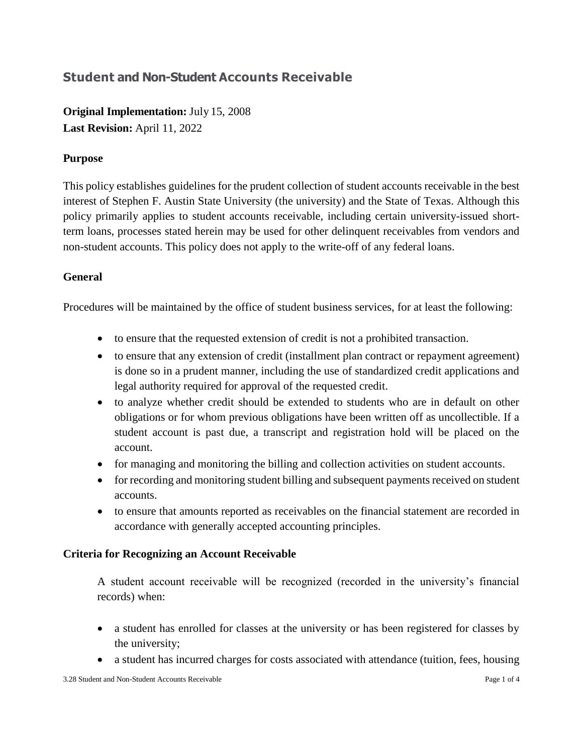# **Student and Non-Student Accounts Receivable**

**Original Implementation:** July 15, 2008 **Last Revision:** April 11, 2022

## **Purpose**

This policy establishes guidelines for the prudent collection of student accounts receivable in the best interest of Stephen F. Austin State University (the university) and the State of Texas. Although this policy primarily applies to student accounts receivable, including certain university-issued shortterm loans, processes stated herein may be used for other delinquent receivables from vendors and non-student accounts. This policy does not apply to the write-off of any federal loans.

## **General**

Procedures will be maintained by the office of student business services, for at least the following:

- to ensure that the requested extension of credit is not a prohibited transaction.
- to ensure that any extension of credit (installment plan contract or repayment agreement) is done so in a prudent manner, including the use of standardized credit applications and legal authority required for approval of the requested credit.
- to analyze whether credit should be extended to students who are in default on other obligations or for whom previous obligations have been written off as uncollectible. If a student account is past due, a transcript and registration hold will be placed on the account.
- for managing and monitoring the billing and collection activities on student accounts.
- for recording and monitoring student billing and subsequent payments received on student accounts.
- to ensure that amounts reported as receivables on the financial statement are recorded in accordance with generally accepted accounting principles.

## **Criteria for Recognizing an Account Receivable**

A student account receivable will be recognized (recorded in the university's financial records) when:

- a student has enrolled for classes at the university or has been registered for classes by the university;
- a student has incurred charges for costs associated with attendance (tuition, fees, housing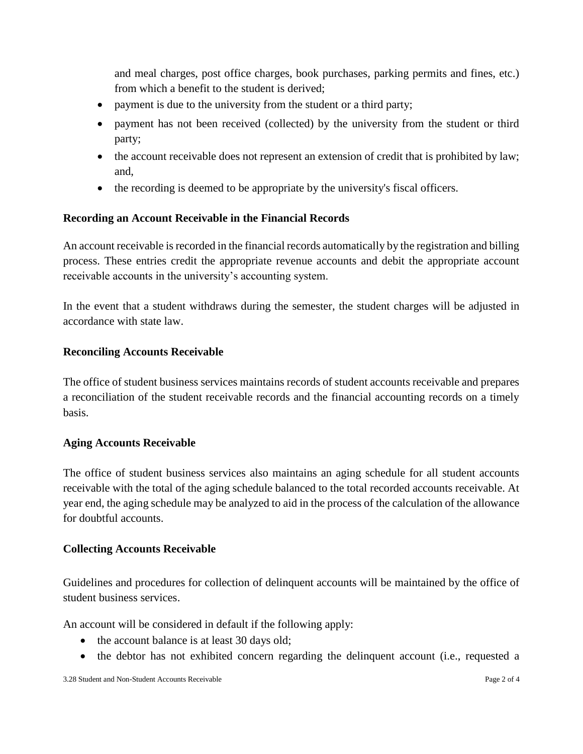and meal charges, post office charges, book purchases, parking permits and fines, etc.) from which a benefit to the student is derived;

- payment is due to the university from the student or a third party;
- payment has not been received (collected) by the university from the student or third party;
- the account receivable does not represent an extension of credit that is prohibited by law; and,
- the recording is deemed to be appropriate by the university's fiscal officers.

## **Recording an Account Receivable in the Financial Records**

An account receivable is recorded in the financial records automatically by the registration and billing process. These entries credit the appropriate revenue accounts and debit the appropriate account receivable accounts in the university's accounting system.

In the event that a student withdraws during the semester, the student charges will be adjusted in accordance with state law.

#### **Reconciling Accounts Receivable**

The office of student business services maintains records of student accounts receivable and prepares a reconciliation of the student receivable records and the financial accounting records on a timely basis.

## **Aging Accounts Receivable**

The office of student business services also maintains an aging schedule for all student accounts receivable with the total of the aging schedule balanced to the total recorded accounts receivable. At year end, the aging schedule may be analyzed to aid in the process of the calculation of the allowance for doubtful accounts.

## **Collecting Accounts Receivable**

Guidelines and procedures for collection of delinquent accounts will be maintained by the office of student business services.

An account will be considered in default if the following apply:

- the account balance is at least 30 days old;
- the debtor has not exhibited concern regarding the delinquent account (i.e., requested a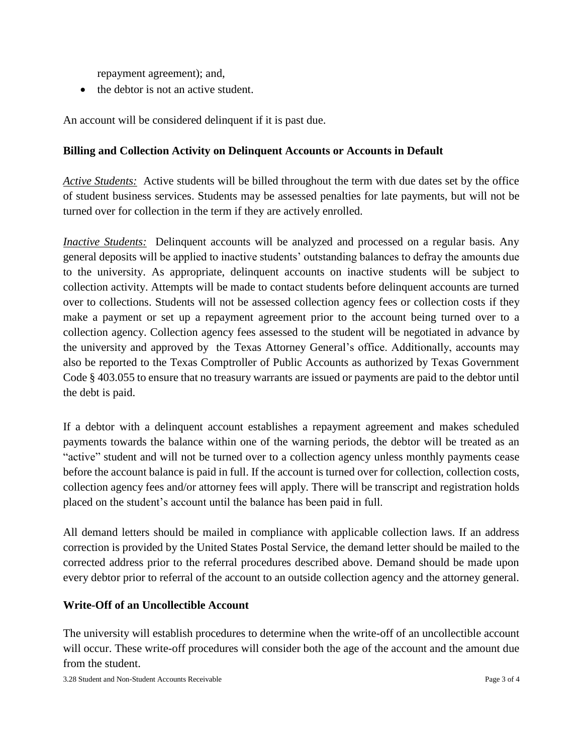repayment agreement); and,

• the debtor is not an active student.

An account will be considered delinquent if it is past due.

#### **Billing and Collection Activity on Delinquent Accounts or Accounts in Default**

*Active Students:* Active students will be billed throughout the term with due dates set by the office of student business services. Students may be assessed penalties for late payments, but will not be turned over for collection in the term if they are actively enrolled.

*Inactive Students:* Delinquent accounts will be analyzed and processed on a regular basis. Any general deposits will be applied to inactive students' outstanding balances to defray the amounts due to the university. As appropriate, delinquent accounts on inactive students will be subject to collection activity. Attempts will be made to contact students before delinquent accounts are turned over to collections. Students will not be assessed collection agency fees or collection costs if they make a payment or set up a repayment agreement prior to the account being turned over to a collection agency. Collection agency fees assessed to the student will be negotiated in advance by the university and approved by the Texas Attorney General's office. Additionally, accounts may also be reported to the Texas Comptroller of Public Accounts as authorized by Texas Government Code § 403.055 to ensure that no treasury warrants are issued or payments are paid to the debtor until the debt is paid.

If a debtor with a delinquent account establishes a repayment agreement and makes scheduled payments towards the balance within one of the warning periods, the debtor will be treated as an "active" student and will not be turned over to a collection agency unless monthly payments cease before the account balance is paid in full. If the account is turned over for collection, collection costs, collection agency fees and/or attorney fees will apply. There will be transcript and registration holds placed on the student's account until the balance has been paid in full.

All demand letters should be mailed in compliance with applicable collection laws. If an address correction is provided by the United States Postal Service, the demand letter should be mailed to the corrected address prior to the referral procedures described above. Demand should be made upon every debtor prior to referral of the account to an outside collection agency and the attorney general.

#### **Write-Off of an Uncollectible Account**

The university will establish procedures to determine when the write-off of an uncollectible account will occur. These write-off procedures will consider both the age of the account and the amount due from the student.